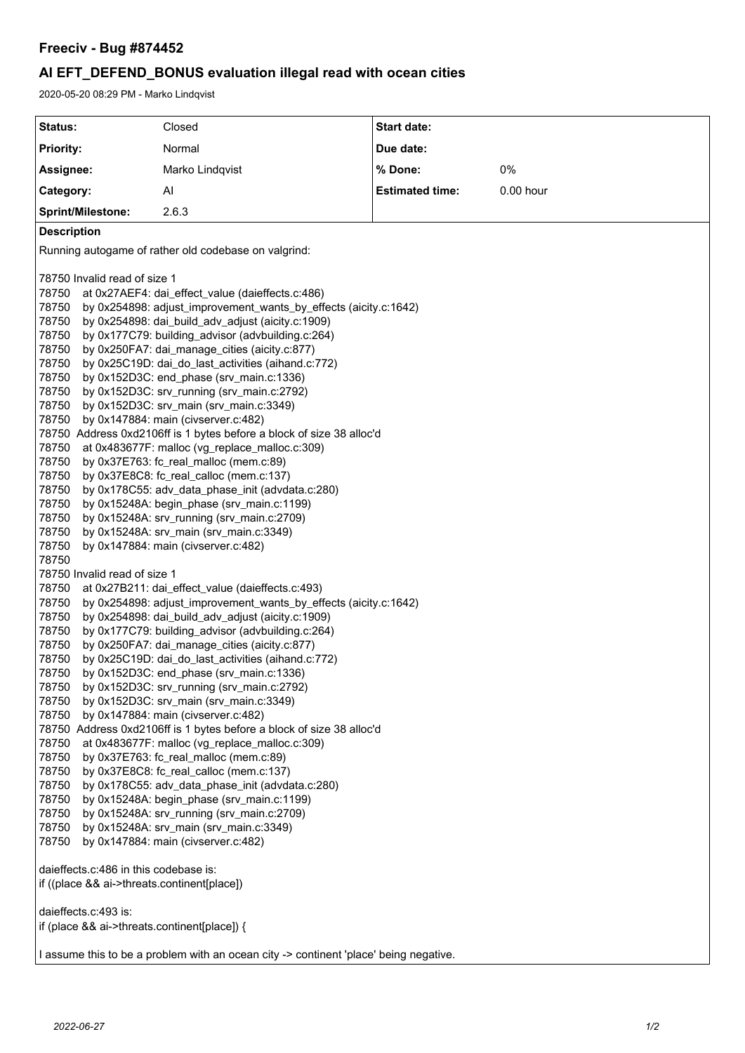## *Freeciv - Bug #874452*

# *AI EFT\_DEFEND\_BONUS evaluation illegal read with ocean cities*

2020-05-20 08:29 PM - Marko Lindqvist

| Status:                                                                                                                                                                                                                                                                                                                                                                                                                                                                                                                                                                                                                                                                                                                                                                                                                                                                                                                                                                                                                                                                                                                                                                                                                                                      | Closed          | <b>Start date:</b>     |             |  |
|--------------------------------------------------------------------------------------------------------------------------------------------------------------------------------------------------------------------------------------------------------------------------------------------------------------------------------------------------------------------------------------------------------------------------------------------------------------------------------------------------------------------------------------------------------------------------------------------------------------------------------------------------------------------------------------------------------------------------------------------------------------------------------------------------------------------------------------------------------------------------------------------------------------------------------------------------------------------------------------------------------------------------------------------------------------------------------------------------------------------------------------------------------------------------------------------------------------------------------------------------------------|-----------------|------------------------|-------------|--|
| <b>Priority:</b>                                                                                                                                                                                                                                                                                                                                                                                                                                                                                                                                                                                                                                                                                                                                                                                                                                                                                                                                                                                                                                                                                                                                                                                                                                             | Normal          | Due date:              |             |  |
| Assignee:                                                                                                                                                                                                                                                                                                                                                                                                                                                                                                                                                                                                                                                                                                                                                                                                                                                                                                                                                                                                                                                                                                                                                                                                                                                    | Marko Lindqvist | % Done:                | 0%          |  |
| Category:                                                                                                                                                                                                                                                                                                                                                                                                                                                                                                                                                                                                                                                                                                                                                                                                                                                                                                                                                                                                                                                                                                                                                                                                                                                    | Al              | <b>Estimated time:</b> | $0.00$ hour |  |
| <b>Sprint/Milestone:</b>                                                                                                                                                                                                                                                                                                                                                                                                                                                                                                                                                                                                                                                                                                                                                                                                                                                                                                                                                                                                                                                                                                                                                                                                                                     | 2.6.3           |                        |             |  |
| <b>Description</b>                                                                                                                                                                                                                                                                                                                                                                                                                                                                                                                                                                                                                                                                                                                                                                                                                                                                                                                                                                                                                                                                                                                                                                                                                                           |                 |                        |             |  |
| Running autogame of rather old codebase on valgrind:                                                                                                                                                                                                                                                                                                                                                                                                                                                                                                                                                                                                                                                                                                                                                                                                                                                                                                                                                                                                                                                                                                                                                                                                         |                 |                        |             |  |
| 78750 Invalid read of size 1<br>78750<br>at 0x27AEF4: dai_effect_value (daieffects.c:486)<br>78750<br>by 0x254898: adjust_improvement_wants_by_effects (aicity.c:1642)<br>78750<br>by 0x254898: dai_build_adv_adjust (aicity.c:1909)<br>78750<br>by 0x177C79: building_advisor (advbuilding.c:264)<br>78750<br>by 0x250FA7: dai_manage_cities (aicity.c:877)<br>78750<br>by 0x25C19D: dai_do_last_activities (aihand.c:772)<br>78750<br>by 0x152D3C: end_phase (srv_main.c:1336)<br>78750<br>by 0x152D3C: srv_running (srv_main.c:2792)<br>78750<br>by 0x152D3C: srv_main (srv_main.c:3349)<br>78750<br>by 0x147884: main (civserver.c:482)<br>78750 Address 0xd2106ff is 1 bytes before a block of size 38 alloc'd<br>78750<br>at 0x483677F: malloc (vg_replace_malloc.c:309)<br>78750<br>by 0x37E763: fc_real_malloc (mem.c:89)<br>78750<br>by 0x37E8C8: fc_real_calloc (mem.c:137)<br>78750<br>by 0x178C55: adv_data_phase_init (advdata.c:280)<br>78750<br>by 0x15248A: begin_phase (srv_main.c:1199)<br>78750<br>by 0x15248A: srv_running (srv_main.c:2709)<br>78750<br>by 0x15248A: srv_main (srv_main.c:3349)<br>78750<br>by 0x147884: main (civserver.c:482)                                                                                         |                 |                        |             |  |
| 78750 Invalid read of size 1<br>78750<br>at 0x27B211: dai_effect_value (daieffects.c:493)<br>78750<br>by 0x254898: adjust_improvement_wants_by_effects (aicity.c:1642)<br>78750<br>by 0x254898: dai_build_adv_adjust (aicity.c:1909)<br>78750<br>by 0x177C79: building_advisor (advbuilding.c:264)<br>78750<br>by 0x250FA7: dai_manage_cities (aicity.c:877)<br>78750<br>by 0x25C19D: dai_do_last_activities (aihand.c:772)<br>78750<br>by 0x152D3C: end_phase (srv_main.c:1336)<br>by 0x152D3C: srv_running (srv_main.c:2792)<br>78750<br>78750<br>by 0x152D3C: srv_main (srv_main.c:3349)<br>78750<br>by 0x147884: main (civserver.c:482)<br>78750 Address 0xd2106ff is 1 bytes before a block of size 38 alloc'd<br>78750<br>at 0x483677F: malloc (vg_replace_malloc.c:309)<br>78750<br>by 0x37E763: fc_real_malloc (mem.c:89)<br>78750<br>by 0x37E8C8: fc_real_calloc (mem.c:137)<br>78750<br>by 0x178C55: adv_data_phase_init (advdata.c:280)<br>78750<br>by 0x15248A: begin_phase (srv_main.c:1199)<br>78750<br>by 0x15248A: srv_running (srv_main.c:2709)<br>78750<br>by 0x15248A: srv_main (srv_main.c:3349)<br>78750<br>by 0x147884: main (civserver.c:482)<br>daieffects.c:486 in this codebase is:<br>if ((place && ai->threats.continent[place]) |                 |                        |             |  |
| daieffects.c:493 is:<br>if (place && ai->threats.continent[place]) {                                                                                                                                                                                                                                                                                                                                                                                                                                                                                                                                                                                                                                                                                                                                                                                                                                                                                                                                                                                                                                                                                                                                                                                         |                 |                        |             |  |
| I assume this to be a problem with an ocean city -> continent 'place' being negative.                                                                                                                                                                                                                                                                                                                                                                                                                                                                                                                                                                                                                                                                                                                                                                                                                                                                                                                                                                                                                                                                                                                                                                        |                 |                        |             |  |